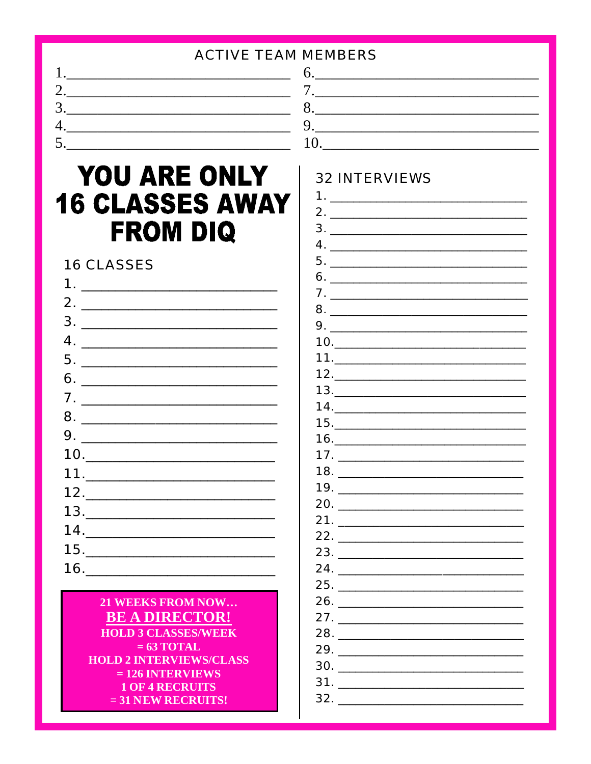| <b>ACTIVE TEAM MEMBERS</b> |  |
|----------------------------|--|
|                            |  |
| ـ ت                        |  |
| J .                        |  |
|                            |  |
| ◡                          |  |

 $\mathbf{1}$ 

# YOU ARE ONLY **16 CLASSES AWAY FROM DIQ**

## **16 CLASSES**

| $5. \underline{\hspace{2cm}}$                  |
|------------------------------------------------|
|                                                |
|                                                |
|                                                |
|                                                |
| $10. \qquad \qquad \overbrace{\qquad \qquad }$ |
|                                                |
|                                                |
| $13. \underline{\hspace{2cm}}$                 |
| 14.                                            |
| 15.                                            |
|                                                |
|                                                |

#### 21 WEEKS FROM NOW... **BE A DIRECTOR! HOLD 3 CLASSES/WEEK**  $= 63$  TOTAL **HOLD 2 INTERVIEWS/CLASS**  $= 126$  INTERVIEWS **1 OF 4 RECRUITS**  $= 31$  NEW RECRUITS!

### **32 INTERVIEWS**

| 2.  | <u> 1980 - Jan James James Barnett, fransk politik (d. 1980)</u> |
|-----|------------------------------------------------------------------|
|     |                                                                  |
|     |                                                                  |
|     |                                                                  |
|     |                                                                  |
|     | 7.                                                               |
|     |                                                                  |
|     |                                                                  |
|     |                                                                  |
|     |                                                                  |
|     |                                                                  |
|     | 13.                                                              |
|     | 14.                                                              |
|     |                                                                  |
|     |                                                                  |
|     |                                                                  |
|     |                                                                  |
|     |                                                                  |
|     | 20.                                                              |
|     |                                                                  |
|     |                                                                  |
|     |                                                                  |
|     |                                                                  |
|     |                                                                  |
|     |                                                                  |
|     | 27.                                                              |
| 28. |                                                                  |
|     | <u>29. _______________</u>                                       |
|     |                                                                  |
|     |                                                                  |
|     |                                                                  |
|     |                                                                  |